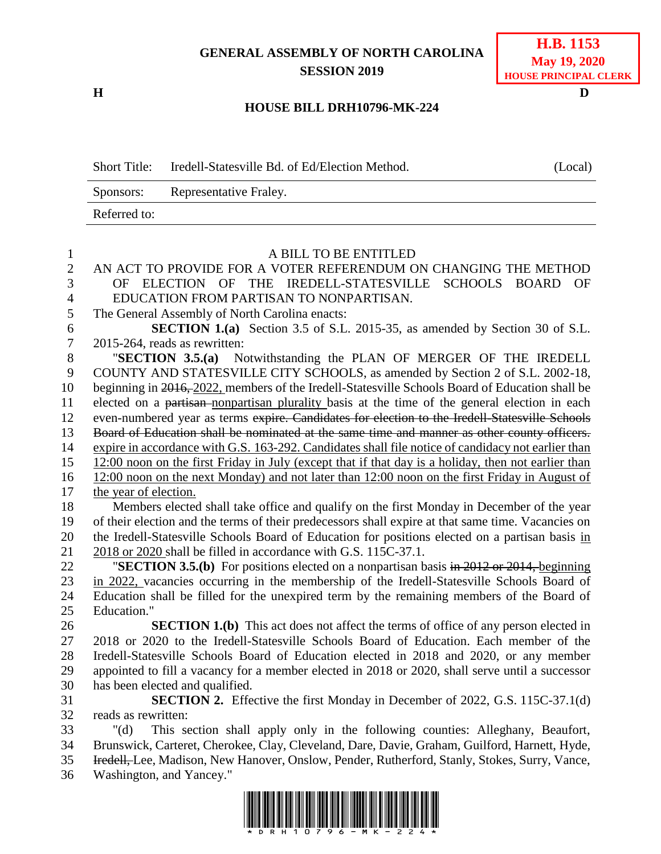## **GENERAL ASSEMBLY OF NORTH CAROLINA SESSION 2019**

**H D**

## **HOUSE BILL DRH10796-MK-224**

| <b>Short Title:</b> | Iredell-Statesville Bd. of Ed/Election Method. | (Local) |
|---------------------|------------------------------------------------|---------|
| Sponsors:           | Representative Fraley.                         |         |
| Referred to:        |                                                |         |

| $\mathbf{1}$   | A BILL TO BE ENTITLED                                                                               |
|----------------|-----------------------------------------------------------------------------------------------------|
| $\overline{2}$ | AN ACT TO PROVIDE FOR A VOTER REFERENDUM ON CHANGING THE METHOD                                     |
| 3              | ELECTION OF THE IREDELL-STATESVILLE<br>SCHOOLS BOARD<br>OF<br>OF                                    |
| $\overline{4}$ | EDUCATION FROM PARTISAN TO NONPARTISAN.                                                             |
| 5              | The General Assembly of North Carolina enacts:                                                      |
| 6              | <b>SECTION 1.(a)</b> Section 3.5 of S.L. 2015-35, as amended by Section 30 of S.L.                  |
| $\overline{7}$ | 2015-264, reads as rewritten:                                                                       |
| $8\,$          | Notwithstanding the PLAN OF MERGER OF THE IREDELL<br>"SECTION $3.5(a)$                              |
| 9              | COUNTY AND STATESVILLE CITY SCHOOLS, as amended by Section 2 of S.L. 2002-18,                       |
| 10             | beginning in 2016, 2022, members of the Iredell-Statesville Schools Board of Education shall be     |
| 11             | elected on a partisan-nonpartisan plurality basis at the time of the general election in each       |
| 12             | even-numbered year as terms expire. Candidates for election to the Iredell-Statesville Schools      |
| 13             | Board of Education shall be nominated at the same time and manner as other county officers.         |
| 14             | expire in accordance with G.S. 163-292. Candidates shall file notice of candidacy not earlier than  |
| 15             | 12:00 noon on the first Friday in July (except that if that day is a holiday, then not earlier than |
| 16             | 12:00 noon on the next Monday) and not later than 12:00 noon on the first Friday in August of       |
| 17             | the year of election.                                                                               |
| 18             | Members elected shall take office and qualify on the first Monday in December of the year           |
| 19             | of their election and the terms of their predecessors shall expire at that same time. Vacancies on  |
| 20             | the Iredell-Statesville Schools Board of Education for positions elected on a partisan basis in     |
| 21             | 2018 or 2020 shall be filled in accordance with G.S. 115C-37.1.                                     |
| 22             | "SECTION 3.5.(b) For positions elected on a nonpartisan basis in $2012$ or $2014$ , beginning       |
| 23             | in 2022, vacancies occurring in the membership of the Iredell-Statesville Schools Board of          |
| 24             | Education shall be filled for the unexpired term by the remaining members of the Board of           |
| 25             | Education."                                                                                         |
| 26             | <b>SECTION 1.(b)</b> This act does not affect the terms of office of any person elected in          |
| 27             | 2018 or 2020 to the Iredell-Statesville Schools Board of Education. Each member of the              |
| 28             | Iredell-Statesville Schools Board of Education elected in 2018 and 2020, or any member              |
| 29             | appointed to fill a vacancy for a member elected in 2018 or 2020, shall serve until a successor     |
| 30             | has been elected and qualified.                                                                     |
| 31             | <b>SECTION 2.</b> Effective the first Monday in December of 2022, G.S. 115C-37.1(d)                 |
| 32             | reads as rewritten:                                                                                 |
| 33             | This section shall apply only in the following counties: Alleghany, Beaufort,<br>$"(\mathrm{d})$    |
| 34             | Brunswick, Carteret, Cherokee, Clay, Cleveland, Dare, Davie, Graham, Guilford, Harnett, Hyde,       |
| 35             | Hredell, Lee, Madison, New Hanover, Onslow, Pender, Rutherford, Stanly, Stokes, Surry, Vance,       |

36 Washington, and Yancey."